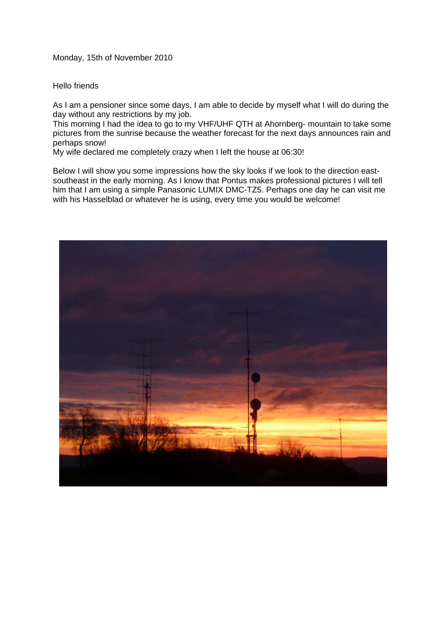Monday, 15th of November 2010

Hello friends

As I am a pensioner since some days, I am able to decide by myself what I will do during the day without any restrictions by my job.

This morning I had the idea to go to my VHF/UHF QTH at Ahornberg- mountain to take some pictures from the sunrise because the weather forecast for the next days announces rain and perhaps snow!

My wife declared me completely crazy when I left the house at 06:30!

Below I will show you some impressions how the sky looks if we look to the direction eastsoutheast in the early morning. As I know that Pontus makes professional pictures I will tell him that I am using a simple Panasonic LUMIX DMC-TZ5. Perhaps one day he can visit me with his Hasselblad or whatever he is using, every time you would be welcome!

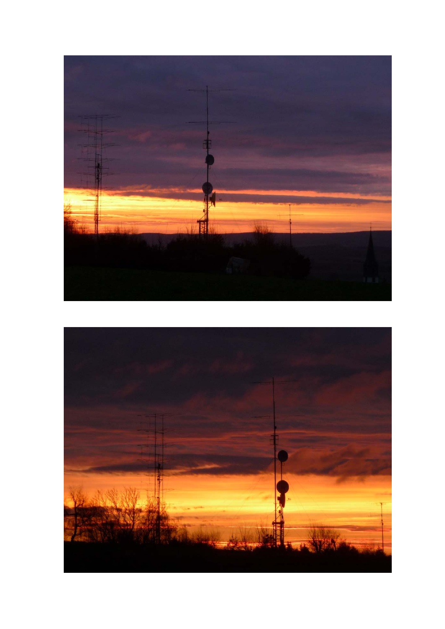

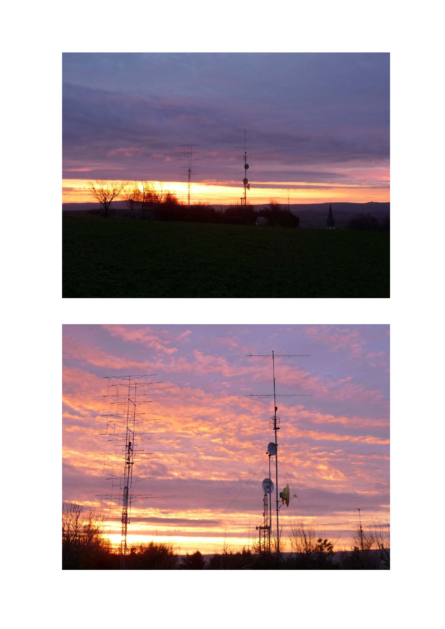

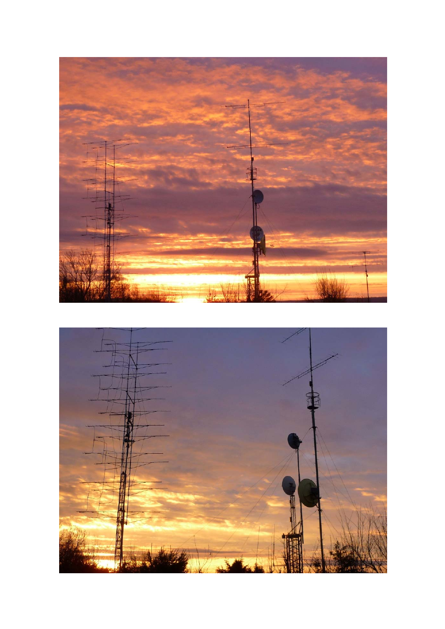

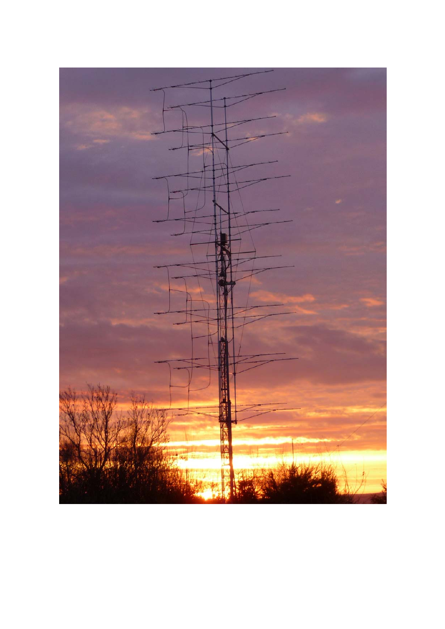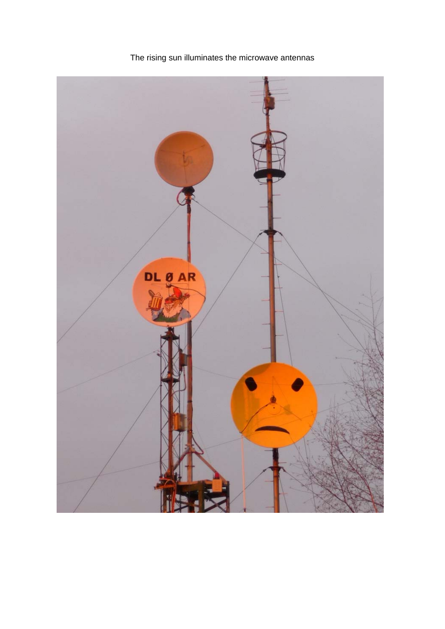

The rising sun illuminates the microwave antennas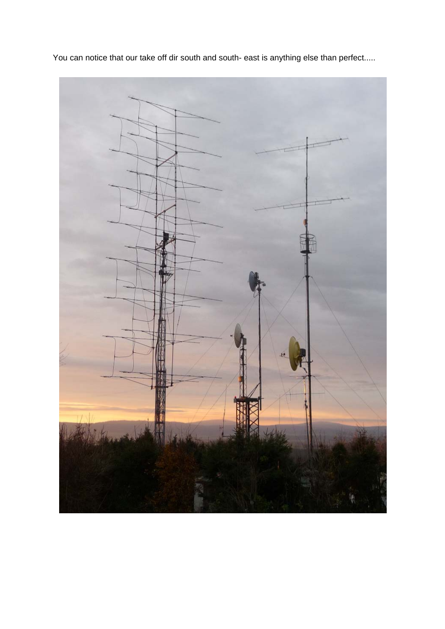

You can notice that our take off dir south and south- east is anything else than perfect.....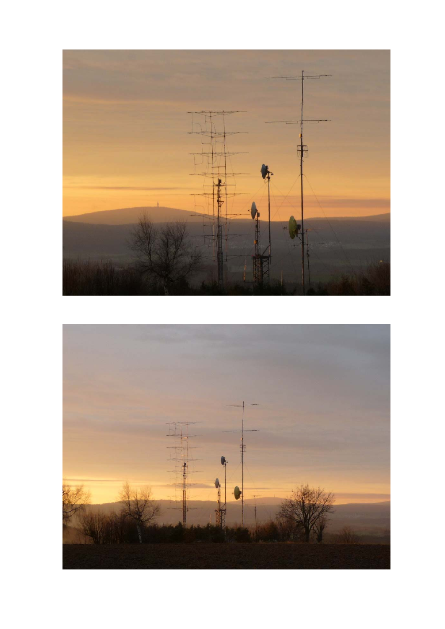

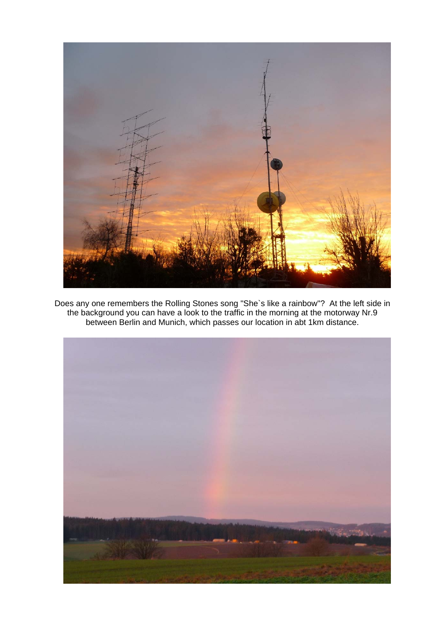

Does any one remembers the Rolling Stones song "She`s like a rainbow"? At the left side in the background you can have a look to the traffic in the morning at the motorway Nr.9 between Berlin and Munich, which passes our location in abt 1km distance.